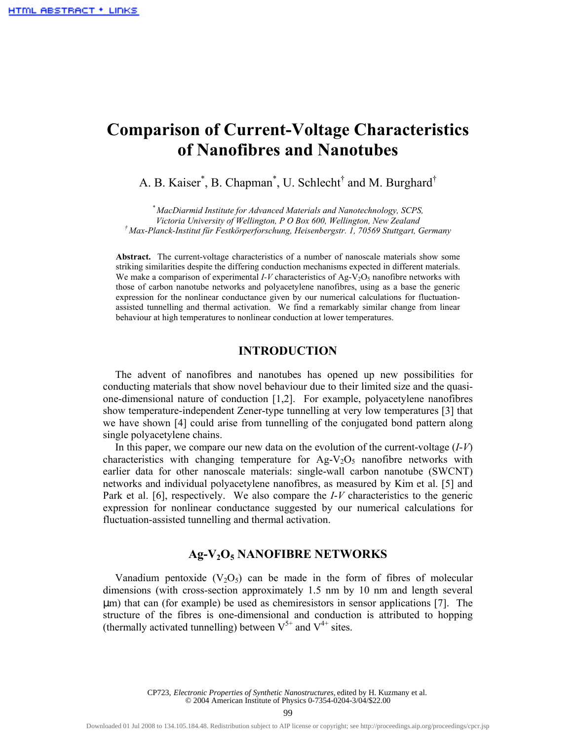# **Comparison of Current-Voltage Characteristics of Nanofibres and Nanotubes**

A. B. Kaiser<sup>\*</sup>, B. Chapman<sup>\*</sup>, U. Schlecht<sup>†</sup> and M. Burghard<sup>†</sup>

*\* MacDiarmid Institute for Advanced Materials and Nanotechnology, SCPS, Victoria University of Wellington, P O Box 600, Wellington, New Zealand † Max-Planck-Institut für Festkörperforschung, Heisenbergstr. 1, 70569 Stuttgart, Germany* 

**Abstract.** The current-voltage characteristics of a number of nanoscale materials show some striking similarities despite the differing conduction mechanisms expected in different materials. We make a comparison of experimental  $I-V$  characteristics of Ag- $V<sub>2</sub>O<sub>5</sub>$  nanofibre networks with those of carbon nanotube networks and polyacetylene nanofibres, using as a base the generic expression for the nonlinear conductance given by our numerical calculations for fluctuationassisted tunnelling and thermal activation. We find a remarkably similar change from linear behaviour at high temperatures to nonlinear conduction at lower temperatures.

#### **INTRODUCTION**

The advent of nanofibres and nanotubes has opened up new possibilities for conducting materials that show novel behaviour due to their limited size and the quasione-dimensional nature of conduction [1,2]. For example, polyacetylene nanofibres show temperature-independent Zener-type tunnelling at very low temperatures [3] that we have shown [4] could arise from tunnelling of the conjugated bond pattern along single polyacetylene chains.

In this paper, we compare our new data on the evolution of the current-voltage (*I*-*V*) characteristics with changing temperature for  $Ag-V<sub>2</sub>O<sub>5</sub>$  nanofibre networks with earlier data for other nanoscale materials: single-wall carbon nanotube (SWCNT) networks and individual polyacetylene nanofibres, as measured by Kim et al. [5] and Park et al. [6], respectively. We also compare the *I*-*V* characteristics to the generic expression for nonlinear conductance suggested by our numerical calculations for fluctuation-assisted tunnelling and thermal activation.

## **Ag-V2O5 NANOFIBRE NETWORKS**

Vanadium pentoxide  $(V_2O_5)$  can be made in the form of fibres of molecular dimensions (with cross-section approximately 1.5 nm by 10 nm and length several µm) that can (for example) be used as chemiresistors in sensor applications [7]. The structure of the fibres is one-dimensional and conduction is attributed to hopping (thermally activated tunnelling) between  $V^{5+}$  and  $V^{4+}$  sites.

> CP723, *Electronic Properties of Synthetic Nanostructures,* edited by H. Kuzmany et al. © 2004 American Institute of Physics 0-7354-0204-3/04/\$22.00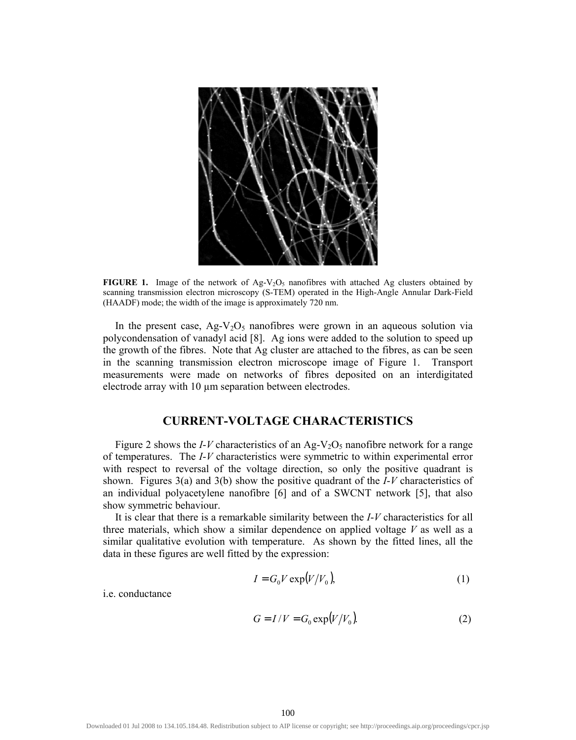

**FIGURE 1.** Image of the network of Ag-V<sub>2</sub>O<sub>5</sub> nanofibres with attached Ag clusters obtained by scanning transmission electron microscopy (S-TEM) operated in the High-Angle Annular Dark-Field (HAADF) mode; the width of the image is approximately 720 nm.

In the present case,  $Ag-V<sub>2</sub>O<sub>5</sub>$  nanofibres were grown in an aqueous solution via polycondensation of vanadyl acid [8]. Ag ions were added to the solution to speed up the growth of the fibres. Note that Ag cluster are attached to the fibres, as can be seen in the scanning transmission electron microscope image of Figure 1. Transport measurements were made on networks of fibres deposited on an interdigitated electrode array with 10 um separation between electrodes.

## **CURRENT-VOLTAGE CHARACTERISTICS**

Figure 2 shows the *I-V* characteristics of an Ag-V<sub>2</sub>O<sub>5</sub> nanofibre network for a range of temperatures. The *I*-*V* characteristics were symmetric to within experimental error with respect to reversal of the voltage direction, so only the positive quadrant is shown. Figures 3(a) and 3(b) show the positive quadrant of the *I*-*V* characteristics of an individual polyacetylene nanofibre [6] and of a SWCNT network [5], that also show symmetric behaviour.

It is clear that there is a remarkable similarity between the *I*-*V* characteristics for all three materials, which show a similar dependence on applied voltage  $V$  as well as a similar qualitative evolution with temperature. As shown by the fitted lines, all the data in these figures are well fitted by the expression:

$$
I = G_0 V \exp(V/V_0),\tag{1}
$$

i.e. conductance.

$$
G = I/V = G_0 \exp(V/V_0)
$$
 (2)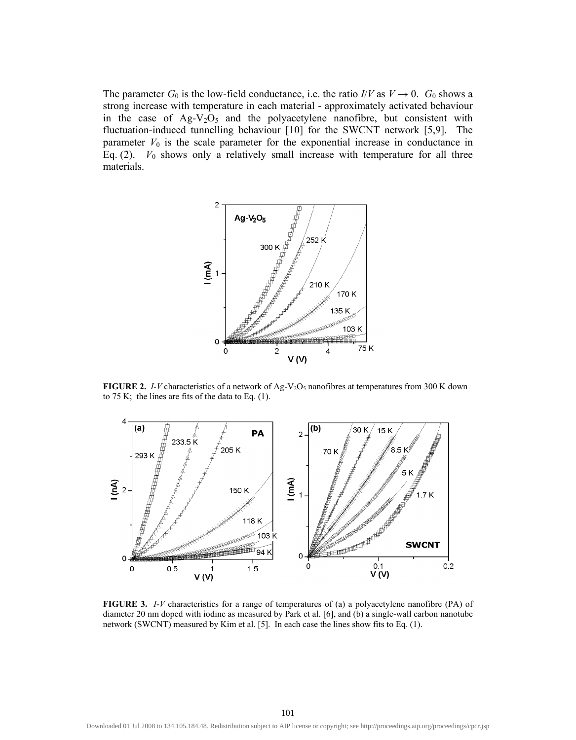The parameter  $G_0$  is the low-field conductance, i.e. the ratio  $I/V$  as  $V \rightarrow 0$ .  $G_0$  shows a strong increase with temperature in each material - approximately activated behaviour in the case of  $Ag-V<sub>2</sub>O<sub>5</sub>$  and the polyacetylene nanofibre, but consistent with fluctuation-induced tunnelling behaviour [10] for the SWCNT network [5,9]. The parameter  $V_0$  is the scale parameter for the exponential increase in conductance in Eq.  $(2)$ .  $V_0$  shows only a relatively small increase with temperature for all three materials.



**FIGURE 2.** *I-V* characteristics of a network of Ag-V<sub>2</sub>O<sub>5</sub> nanofibres at temperatures from 300 K down to 75 K; the lines are fits of the data to Eq. (1).



**FIGURE 3.** *I*-*V* characteristics for a range of temperatures of (a) a polyacetylene nanofibre (PA) of diameter 20 nm doped with iodine as measured by Park et al. [6], and (b) a single-wall carbon nanotube network (SWCNT) measured by Kim et al. [5]. In each case the lines show fits to Eq. (1).